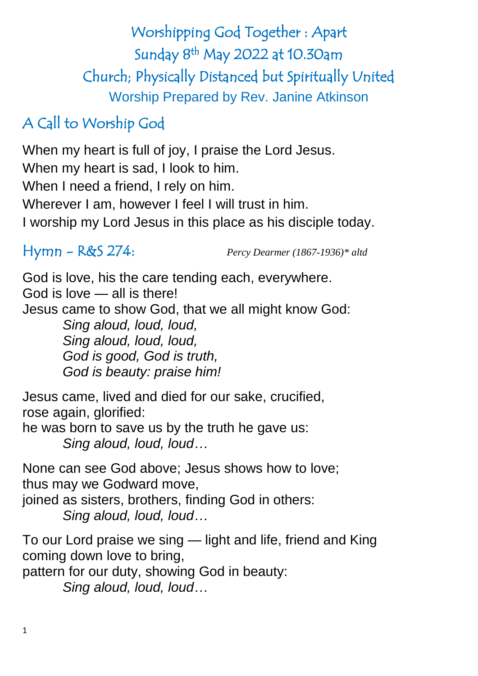Worshipping God Together : Apart Sunday 8 th May 2022 at 10.30am Church; Physically Distanced but Spiritually United Worship Prepared by Rev. Janine Atkinson

## A Call to Worship God

When my heart is full of joy, I praise the Lord Jesus. When my heart is sad, I look to him. When I need a friend, I rely on him. Wherever I am, however I feel I will trust in him. I worship my Lord Jesus in this place as his disciple today.

Hymn - R&S 274: *Percy Dearmer (1867-1936)\* altd*

God is love, his the care tending each, everywhere. God is love — all is there! Jesus came to show God, that we all might know God: *Sing aloud, loud, loud, Sing aloud, loud, loud, God is good, God is truth, God is beauty: praise him!*

Jesus came, lived and died for our sake, crucified, rose again, glorified:

he was born to save us by the truth he gave us: *Sing aloud, loud, loud…*

None can see God above; Jesus shows how to love; thus may we Godward move, joined as sisters, brothers, finding God in others: *Sing aloud, loud, loud…*

To our Lord praise we sing — light and life, friend and King coming down love to bring,

pattern for our duty, showing God in beauty:

*Sing aloud, loud, loud…*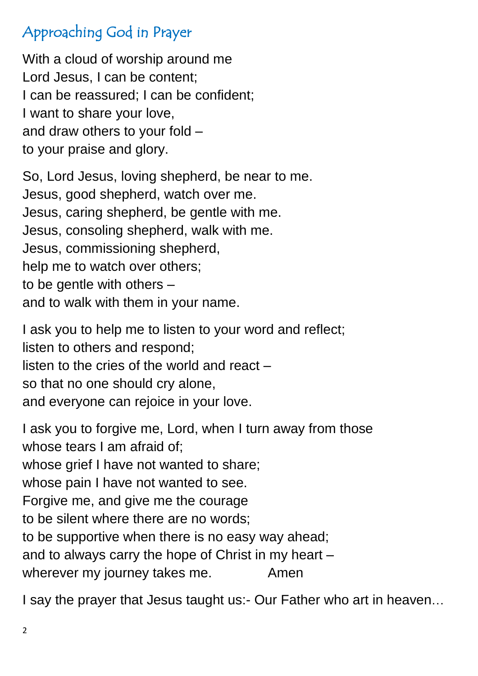## Approaching God in Prayer

With a cloud of worship around me Lord Jesus, I can be content; I can be reassured; I can be confident; I want to share your love, and draw others to your fold – to your praise and glory.

So, Lord Jesus, loving shepherd, be near to me. Jesus, good shepherd, watch over me. Jesus, caring shepherd, be gentle with me. Jesus, consoling shepherd, walk with me. Jesus, commissioning shepherd, help me to watch over others: to be gentle with others – and to walk with them in your name.

I ask you to help me to listen to your word and reflect; listen to others and respond; listen to the cries of the world and react – so that no one should cry alone, and everyone can rejoice in your love.

I ask you to forgive me, Lord, when I turn away from those whose tears I am afraid of; whose grief I have not wanted to share; whose pain I have not wanted to see. Forgive me, and give me the courage to be silent where there are no words; to be supportive when there is no easy way ahead; and to always carry the hope of Christ in my heart – wherever my journey takes me. Amen

I say the prayer that Jesus taught us:- Our Father who art in heaven…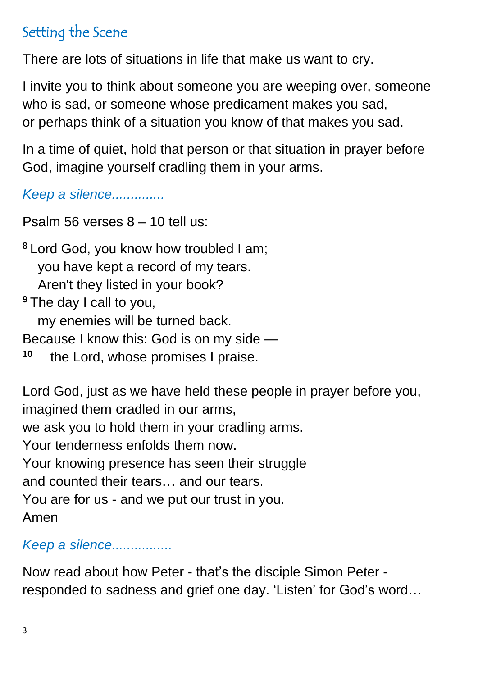#### Setting the Scene

There are lots of situations in life that make us want to cry.

I invite you to think about someone you are weeping over, someone who is sad, or someone whose predicament makes you sad, or perhaps think of a situation you know of that makes you sad.

In a time of quiet, hold that person or that situation in prayer before God, imagine yourself cradling them in your arms.

*Keep a silence..............*

Psalm 56 verses 8 – 10 tell us:

**<sup>8</sup>** Lord God, you know how troubled I am; you have kept a record of my tears. Aren't they listed in your book? **<sup>9</sup>** The day I call to you, my enemies will be turned back.

Because I know this: God is on my side —

**10** the Lord, whose promises I praise.

Lord God, just as we have held these people in prayer before you, imagined them cradled in our arms,

we ask you to hold them in your cradling arms.

Your tenderness enfolds them now.

Your knowing presence has seen their struggle

and counted their tears… and our tears.

You are for us - and we put our trust in you.

Amen

#### *Keep a silence................*

Now read about how Peter - that's the disciple Simon Peter responded to sadness and grief one day. 'Listen' for God's word…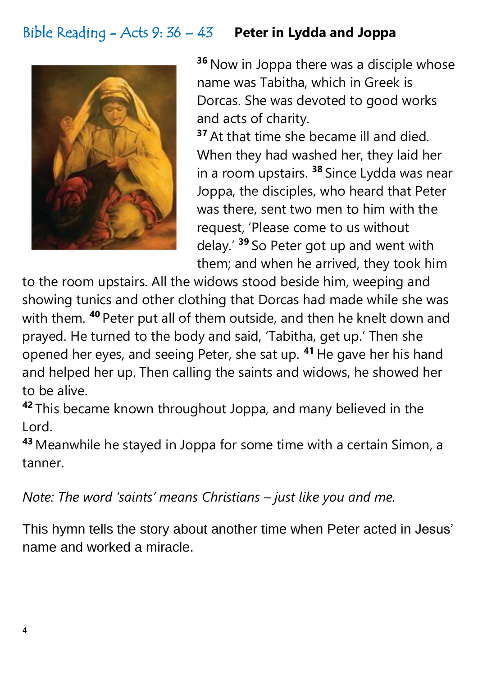# Bible Reading - Acts 9: 36 – 43 **Peter in Lydda and Joppa**



**<sup>36</sup>** Now in Joppa there was a disciple whose name was Tabitha, which in Greek is Dorcas. She was devoted to good works and acts of charity.

**<sup>37</sup>** At that time she became ill and died. When they had washed her, they laid her in a room upstairs. **<sup>38</sup>** Since Lydda was near Joppa, the disciples, who heard that Peter was there, sent two men to him with the request, 'Please come to us without delay.' **<sup>39</sup>** So Peter got up and went with them; and when he arrived, they took him

to the room upstairs. All the widows stood beside him, weeping and showing tunics and other clothing that Dorcas had made while she was with them. **<sup>40</sup>** Peter put all of them outside, and then he knelt down and prayed. He turned to the body and said, 'Tabitha, get up.' Then she opened her eyes, and seeing Peter, she sat up. **<sup>41</sup>** He gave her his hand and helped her up. Then calling the saints and widows, he showed her to be alive.

**<sup>42</sup>** This became known throughout Joppa, and many believed in the Lord.

**<sup>43</sup>** Meanwhile he stayed in Joppa for some time with a certain Simon, a tanner.

*Note: The word 'saints' means Christians – just like you and me.*

This hymn tells the story about another time when Peter acted in Jesus' name and worked a miracle.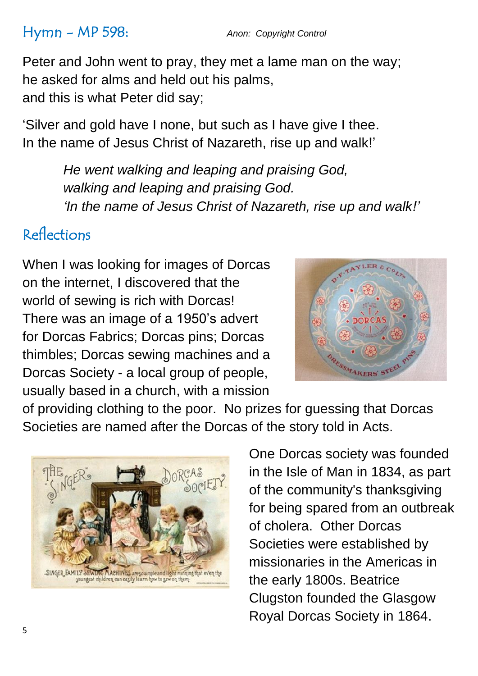#### Hymn - MP 598: *Anon: Copyright Control*

Peter and John went to pray, they met a lame man on the way; he asked for alms and held out his palms, and this is what Peter did say;

'Silver and gold have I none, but such as I have give I thee. In the name of Jesus Christ of Nazareth, rise up and walk!'

> *He went walking and leaping and praising God, walking and leaping and praising God. 'In the name of Jesus Christ of Nazareth, rise up and walk!'*

## Reflections

When I was looking for images of Dorcas on the internet, I discovered that the world of sewing is rich with Dorcas! There was an image of a 1950's advert for Dorcas Fabrics; Dorcas pins; Dorcas thimbles; Dorcas sewing machines and a Dorcas Society - a local group of people, usually based in a church, with a mission



of providing clothing to the poor. No prizes for guessing that Dorcas Societies are named after the Dorcas of the story told in Acts.



One Dorcas society was founded in the Isle of Man in 1834, as part of the community's thanksgiving for being spared from an outbreak of cholera. Other Dorcas Societies were established by missionaries in the Americas in the early 1800s. Beatrice Clugston founded the Glasgow Royal Dorcas Society in 1864.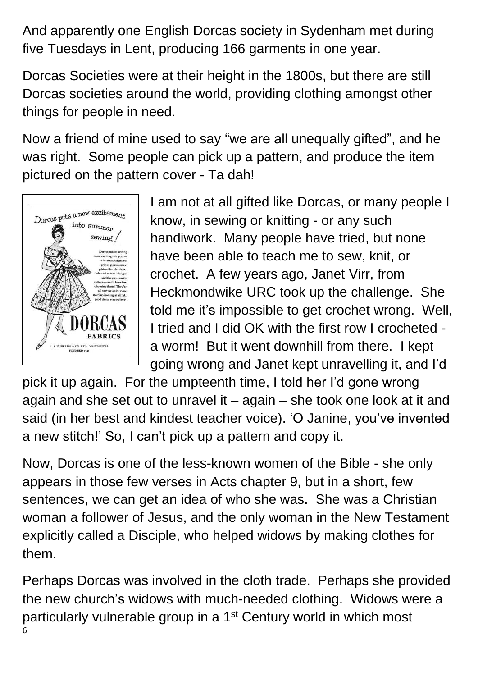And apparently one English Dorcas society in Sydenham met during five Tuesdays in Lent, producing 166 garments in one year.

Dorcas Societies were at their height in the 1800s, but there are still Dorcas societies around the world, providing clothing amongst other things for people in need.

Now a friend of mine used to say "we are all unequally gifted", and he was right. Some people can pick up a pattern, and produce the item pictured on the pattern cover - Ta dah!



I am not at all gifted like Dorcas, or many people I know, in sewing or knitting - or any such handiwork. Many people have tried, but none have been able to teach me to sew, knit, or crochet. A few years ago, Janet Virr, from Heckmondwike URC took up the challenge. She told me it's impossible to get crochet wrong. Well, I tried and I did OK with the first row I crocheted a worm! But it went downhill from there. I kept going wrong and Janet kept unravelling it, and I'd

pick it up again. For the umpteenth time, I told her I'd gone wrong again and she set out to unravel it – again – she took one look at it and said (in her best and kindest teacher voice). 'O Janine, you've invented a new stitch!' So, I can't pick up a pattern and copy it.

Now, Dorcas is one of the less-known women of the Bible - she only appears in those few verses in Acts chapter 9, but in a short, few sentences, we can get an idea of who she was. She was a Christian woman a follower of Jesus, and the only woman in the New Testament explicitly called a Disciple, who helped widows by making clothes for them.

6 Perhaps Dorcas was involved in the cloth trade. Perhaps she provided the new church's widows with much-needed clothing. Widows were a particularly vulnerable group in a 1<sup>st</sup> Century world in which most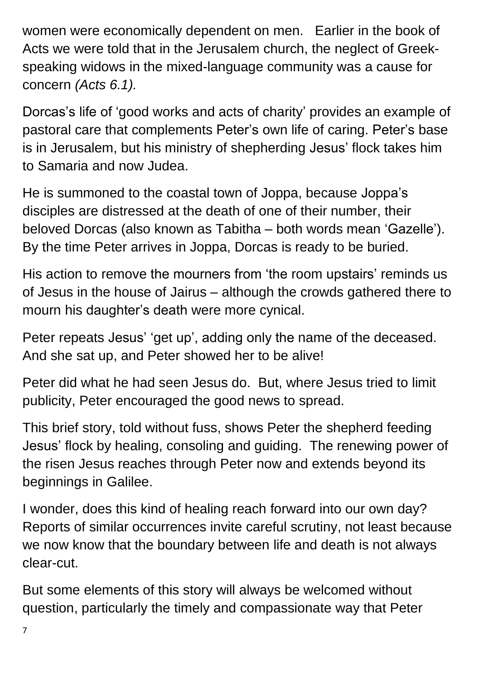women were economically dependent on men. Earlier in the book of Acts we were told that in the Jerusalem church, the neglect of Greekspeaking widows in the mixed-language community was a cause for concern *(Acts 6.1).*

Dorcas's life of 'good works and acts of charity' provides an example of pastoral care that complements Peter's own life of caring. Peter's base is in Jerusalem, but his ministry of shepherding Jesus' flock takes him to Samaria and now Judea.

He is summoned to the coastal town of Joppa, because Joppa's disciples are distressed at the death of one of their number, their beloved Dorcas (also known as Tabitha – both words mean 'Gazelle'). By the time Peter arrives in Joppa, Dorcas is ready to be buried.

His action to remove the mourners from 'the room upstairs' reminds us of Jesus in the house of Jairus – although the crowds gathered there to mourn his daughter's death were more cynical.

Peter repeats Jesus' 'get up', adding only the name of the deceased. And she sat up, and Peter showed her to be alive!

Peter did what he had seen Jesus do. But, where Jesus tried to limit publicity, Peter encouraged the good news to spread.

This brief story, told without fuss, shows Peter the shepherd feeding Jesus' flock by healing, consoling and guiding. The renewing power of the risen Jesus reaches through Peter now and extends beyond its beginnings in Galilee.

I wonder, does this kind of healing reach forward into our own day? Reports of similar occurrences invite careful scrutiny, not least because we now know that the boundary between life and death is not always clear-cut.

But some elements of this story will always be welcomed without question, particularly the timely and compassionate way that Peter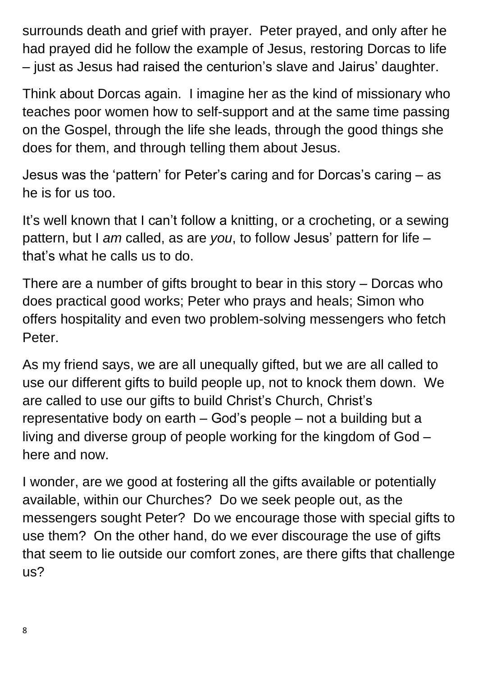surrounds death and grief with prayer. Peter prayed, and only after he had prayed did he follow the example of Jesus, restoring Dorcas to life – just as Jesus had raised the centurion's slave and Jairus' daughter.

Think about Dorcas again. I imagine her as the kind of missionary who teaches poor women how to self-support and at the same time passing on the Gospel, through the life she leads, through the good things she does for them, and through telling them about Jesus.

Jesus was the 'pattern' for Peter's caring and for Dorcas's caring – as he is for us too.

It's well known that I can't follow a knitting, or a crocheting, or a sewing pattern, but I *am* called, as are *you*, to follow Jesus' pattern for life – that's what he calls us to do.

There are a number of gifts brought to bear in this story – Dorcas who does practical good works; Peter who prays and heals; Simon who offers hospitality and even two problem-solving messengers who fetch Peter.

As my friend says, we are all unequally gifted, but we are all called to use our different gifts to build people up, not to knock them down. We are called to use our gifts to build Christ's Church, Christ's representative body on earth – God's people – not a building but a living and diverse group of people working for the kingdom of God – here and now.

I wonder, are we good at fostering all the gifts available or potentially available, within our Churches? Do we seek people out, as the messengers sought Peter? Do we encourage those with special gifts to use them? On the other hand, do we ever discourage the use of gifts that seem to lie outside our comfort zones, are there gifts that challenge us?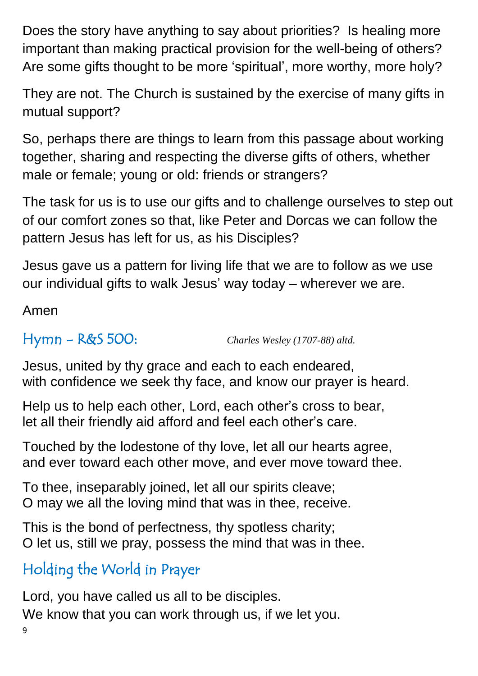Does the story have anything to say about priorities? Is healing more important than making practical provision for the well-being of others? Are some gifts thought to be more 'spiritual', more worthy, more holy?

They are not. The Church is sustained by the exercise of many gifts in mutual support?

So, perhaps there are things to learn from this passage about working together, sharing and respecting the diverse gifts of others, whether male or female; young or old: friends or strangers?

The task for us is to use our gifts and to challenge ourselves to step out of our comfort zones so that, like Peter and Dorcas we can follow the pattern Jesus has left for us, as his Disciples?

Jesus gave us a pattern for living life that we are to follow as we use our individual gifts to walk Jesus' way today – wherever we are.

Amen

Hymn - R&S 500: *Charles Wesley (1707-88) altd.*

Jesus, united by thy grace and each to each endeared, with confidence we seek thy face, and know our prayer is heard.

Help us to help each other, Lord, each other's cross to bear, let all their friendly aid afford and feel each other's care.

Touched by the lodestone of thy love, let all our hearts agree, and ever toward each other move, and ever move toward thee.

To thee, inseparably joined, let all our spirits cleave; O may we all the loving mind that was in thee, receive.

This is the bond of perfectness, thy spotless charity; O let us, still we pray, possess the mind that was in thee.

# Holding the World in Prayer

9 Lord, you have called us all to be disciples. We know that you can work through us, if we let you.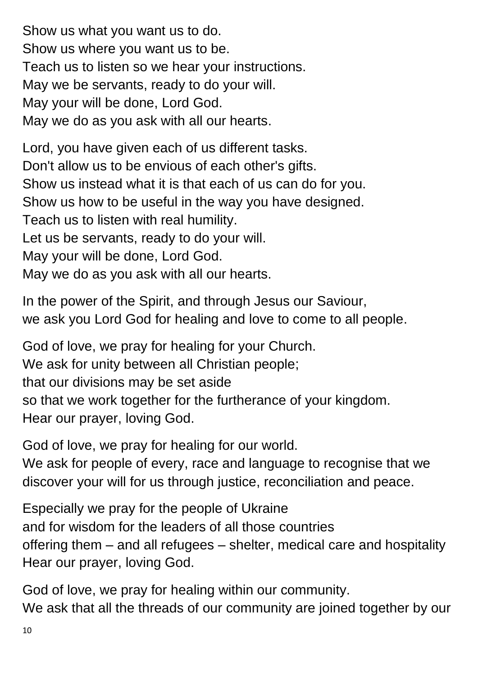Show us what you want us to do. Show us where you want us to be. Teach us to listen so we hear your instructions. May we be servants, ready to do your will. May your will be done, Lord God. May we do as you ask with all our hearts.

Lord, you have given each of us different tasks. Don't allow us to be envious of each other's gifts. Show us instead what it is that each of us can do for you. Show us how to be useful in the way you have designed. Teach us to listen with real humility. Let us be servants, ready to do your will. May your will be done, Lord God. May we do as you ask with all our hearts.

In the power of the Spirit, and through Jesus our Saviour, we ask you Lord God for healing and love to come to all people.

God of love, we pray for healing for your Church. We ask for unity between all Christian people; that our divisions may be set aside so that we work together for the furtherance of your kingdom. Hear our prayer, loving God.

God of love, we pray for healing for our world.

We ask for people of every, race and language to recognise that we discover your will for us through justice, reconciliation and peace.

Especially we pray for the people of Ukraine and for wisdom for the leaders of all those countries offering them – and all refugees – shelter, medical care and hospitality Hear our prayer, loving God.

God of love, we pray for healing within our community. We ask that all the threads of our community are joined together by our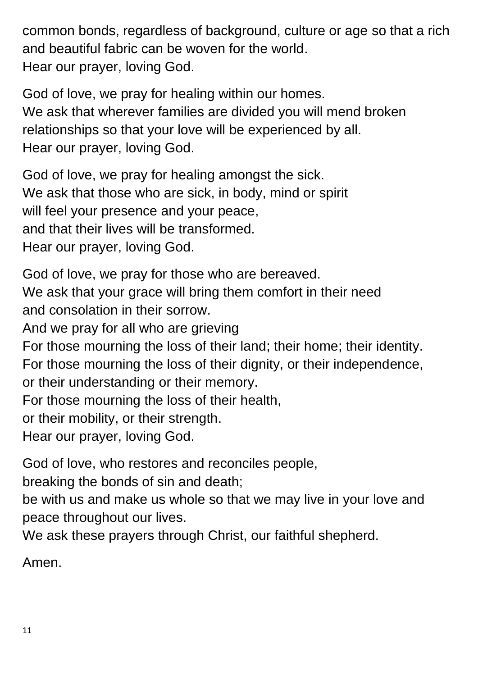common bonds, regardless of background, culture or age so that a rich and beautiful fabric can be woven for the world. Hear our prayer, loving God.

God of love, we pray for healing within our homes. We ask that wherever families are divided you will mend broken relationships so that your love will be experienced by all. Hear our prayer, loving God.

God of love, we pray for healing amongst the sick. We ask that those who are sick, in body, mind or spirit will feel your presence and your peace. and that their lives will be transformed. Hear our prayer, loving God.

God of love, we pray for those who are bereaved. We ask that your grace will bring them comfort in their need and consolation in their sorrow.

And we pray for all who are grieving

For those mourning the loss of their land; their home; their identity. For those mourning the loss of their dignity, or their independence, or their understanding or their memory.

For those mourning the loss of their health,

or their mobility, or their strength.

Hear our prayer, loving God.

God of love, who restores and reconciles people,

breaking the bonds of sin and death;

be with us and make us whole so that we may live in your love and peace throughout our lives.

We ask these prayers through Christ, our faithful shepherd.

Amen.